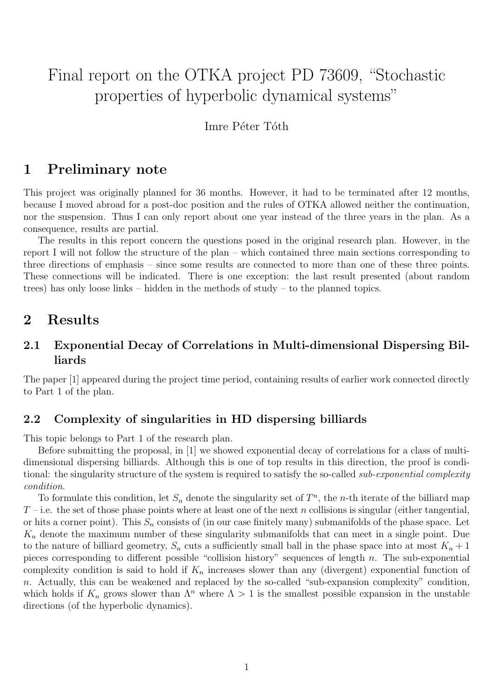# Final report on the OTKA project PD 73609, "Stochastic properties of hyperbolic dynamical systems"

#### Imre Péter Tóth

### 1 Preliminary note

This project was originally planned for 36 months. However, it had to be terminated after 12 months, because I moved abroad for a post-doc position and the rules of OTKA allowed neither the continuation, nor the suspension. Thus I can only report about one year instead of the three years in the plan. As a consequence, results are partial.

The results in this report concern the questions posed in the original research plan. However, in the report I will not follow the structure of the plan – which contained three main sections corresponding to three directions of emphasis – since some results are connected to more than one of these three points. These connections will be indicated. There is one exception: the last result presented (about random trees) has only loose links – hidden in the methods of study – to the planned topics.

### 2 Results

#### 2.1 Exponential Decay of Correlations in Multi-dimensional Dispersing Billiards

The paper [1] appeared during the project time period, containing results of earlier work connected directly to Part 1 of the plan.

#### 2.2 Complexity of singularities in HD dispersing billiards

This topic belongs to Part 1 of the research plan.

Before submitting the proposal, in [1] we showed exponential decay of correlations for a class of multidimensional dispersing billiards. Although this is one of top results in this direction, the proof is conditional: the singularity structure of the system is required to satisfy the so-called *sub-exponential complexity condition*.

To formulate this condition, let  $S_n$  denote the singularity set of  $T^n$ , the *n*-th iterate of the billiard map  $T$  – i.e. the set of those phase points where at least one of the next n collisions is singular (either tangential, or hits a corner point). This  $S_n$  consists of (in our case finitely many) submanifolds of the phase space. Let  $K_n$  denote the maximum number of these singularity submanifolds that can meet in a single point. Due to the nature of billiard geometry,  $S_n$  cuts a sufficiently small ball in the phase space into at most  $K_n + 1$ pieces corresponding to different possible "collision history" sequences of length  $n$ . The sub-exponential complexity condition is said to hold if  $K_n$  increases slower than any (divergent) exponential function of n. Actually, this can be weakened and replaced by the so-called "sub-expansion complexity" condition, which holds if  $K_n$  grows slower than  $\Lambda^n$  where  $\Lambda > 1$  is the smallest possible expansion in the unstable directions (of the hyperbolic dynamics).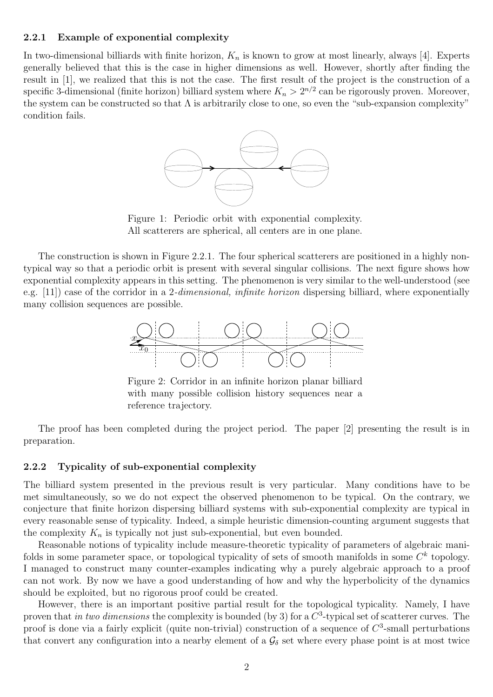#### 2.2.1 Example of exponential complexity

In two-dimensional billiards with finite horizon,  $K_n$  is known to grow at most linearly, always [4]. Experts generally believed that this is the case in higher dimensions as well. However, shortly after finding the result in [1], we realized that this is not the case. The first result of the project is the construction of a specific 3-dimensional (finite horizon) billiard system where  $K_n > 2^{n/2}$  can be rigorously proven. Moreover, the system can be constructed so that  $\Lambda$  is arbitrarily close to one, so even the "sub-expansion complexity" condition fails.



Figure 1: Periodic orbit with exponential complexity. All scatterers are spherical, all centers are in one plane.

The construction is shown in Figure 2.2.1. The four spherical scatterers are positioned in a highly nontypical way so that a periodic orbit is present with several singular collisions. The next figure shows how exponential complexity appears in this setting. The phenomenon is very similar to the well-understood (see e.g. [11]) case of the corridor in a 2*-dimensional, infinite horizon* dispersing billiard, where exponentially many collision sequences are possible.



Figure 2: Corridor in an infinite horizon planar billiard with many possible collision history sequences near a reference trajectory.

The proof has been completed during the project period. The paper [2] presenting the result is in preparation.

#### 2.2.2 Typicality of sub-exponential complexity

The billiard system presented in the previous result is very particular. Many conditions have to be met simultaneously, so we do not expect the observed phenomenon to be typical. On the contrary, we conjecture that finite horizon dispersing billiard systems with sub-exponential complexity are typical in every reasonable sense of typicality. Indeed, a simple heuristic dimension-counting argument suggests that the complexity  $K_n$  is typically not just sub-exponential, but even bounded.

Reasonable notions of typicality include measure-theoretic typicality of parameters of algebraic manifolds in some parameter space, or topological typicality of sets of smooth manifolds in some  $C<sup>k</sup>$  topology. I managed to construct many counter-examples indicating why a purely algebraic approach to a proof can not work. By now we have a good understanding of how and why the hyperbolicity of the dynamics should be exploited, but no rigorous proof could be created.

However, there is an important positive partial result for the topological typicality. Namely, I have proven that *in two dimensions* the complexity is bounded (by 3) for a  $C^3$ -typical set of scatterer curves. The proof is done via a fairly explicit (quite non-trivial) construction of a sequence of  $C^3$ -small perturbations that convert any configuration into a nearby element of a  $\mathcal{G}_{\delta}$  set where every phase point is at most twice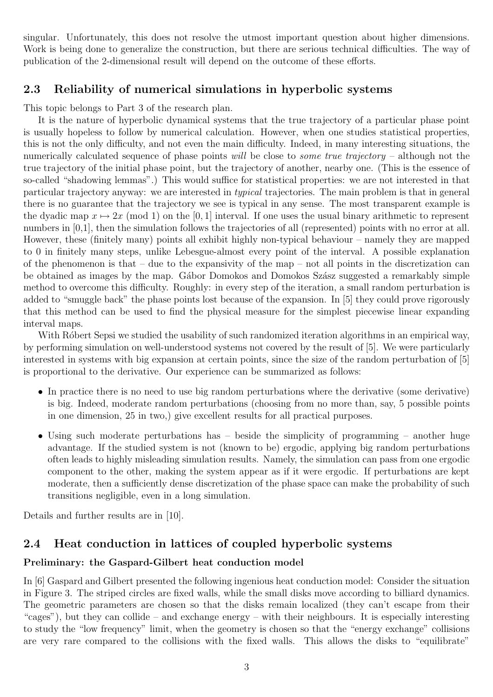singular. Unfortunately, this does not resolve the utmost important question about higher dimensions. Work is being done to generalize the construction, but there are serious technical difficulties. The way of publication of the 2-dimensional result will depend on the outcome of these efforts.

### 2.3 Reliability of numerical simulations in hyperbolic systems

This topic belongs to Part 3 of the research plan.

It is the nature of hyperbolic dynamical systems that the true trajectory of a particular phase point is usually hopeless to follow by numerical calculation. However, when one studies statistical properties, this is not the only difficulty, and not even the main difficulty. Indeed, in many interesting situations, the numerically calculated sequence of phase points *will* be close to *some true trajectory* – although not the true trajectory of the initial phase point, but the trajectory of another, nearby one. (This is the essence of so-called "shadowing lemmas".) This would suffice for statistical properties: we are not interested in that particular trajectory anyway: we are interested in *typical* trajectories. The main problem is that in general there is no guarantee that the trajectory we see is typical in any sense. The most transparent example is the dyadic map  $x \mapsto 2x \pmod{1}$  on the [0, 1] interval. If one uses the usual binary arithmetic to represent numbers in [0,1], then the simulation follows the trajectories of all (represented) points with no error at all. However, these (finitely many) points all exhibit highly non-typical behaviour – namely they are mapped to 0 in finitely many steps, unlike Lebesgue-almost every point of the interval. A possible explanation of the phenomenon is that  $-$  due to the expansivity of the map  $-$  not all points in the discretization can be obtained as images by the map. Gábor Domokos and Domokos Szász suggested a remarkably simple method to overcome this difficulty. Roughly: in every step of the iteration, a small random perturbation is added to "smuggle back" the phase points lost because of the expansion. In [5] they could prove rigorously that this method can be used to find the physical measure for the simplest piecewise linear expanding interval maps.

With Róbert Sepsi we studied the usability of such randomized iteration algorithms in an empirical way, by performing simulation on well-understood systems not covered by the result of [5]. We were particularly interested in systems with big expansion at certain points, since the size of the random perturbation of [5] is proportional to the derivative. Our experience can be summarized as follows:

- In practice there is no need to use big random perturbations where the derivative (some derivative) is big. Indeed, moderate random perturbations (choosing from no more than, say, 5 possible points in one dimension, 25 in two,) give excellent results for all practical purposes.
- Using such moderate perturbations has beside the simplicity of programming another huge advantage. If the studied system is not (known to be) ergodic, applying big random perturbations often leads to highly misleading simulation results. Namely, the simulation can pass from one ergodic component to the other, making the system appear as if it were ergodic. If perturbations are kept moderate, then a sufficiently dense discretization of the phase space can make the probability of such transitions negligible, even in a long simulation.

Details and further results are in [10].

### 2.4 Heat conduction in lattices of coupled hyperbolic systems

#### Preliminary: the Gaspard-Gilbert heat conduction model

In [6] Gaspard and Gilbert presented the following ingenious heat conduction model: Consider the situation in Figure 3. The striped circles are fixed walls, while the small disks move according to billiard dynamics. The geometric parameters are chosen so that the disks remain localized (they can't escape from their "cages"), but they can collide – and exchange energy – with their neighbours. It is especially interesting to study the "low frequency" limit, when the geometry is chosen so that the "energy exchange" collisions are very rare compared to the collisions with the fixed walls. This allows the disks to "equilibrate"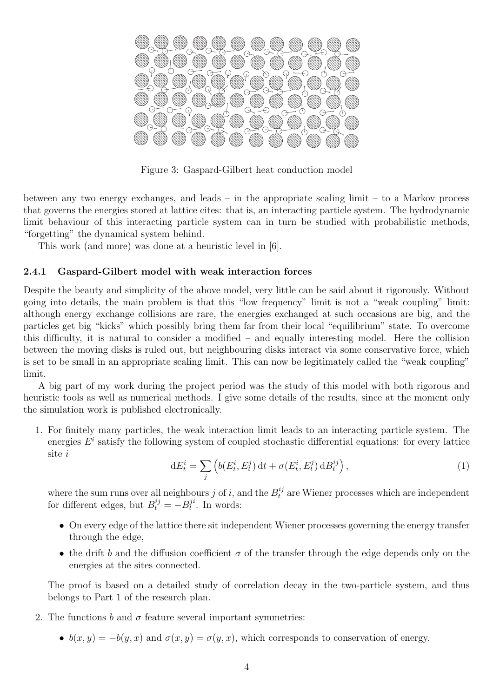

Figure 3: Gaspard-Gilbert heat conduction model

between any two energy exchanges, and leads – in the appropriate scaling limit – to a Markov process that governs the energies stored at lattice cites: that is, an interacting particle system. The hydrodynamic limit behaviour of this interacting particle system can in turn be studied with probabilistic methods, "forgetting" the dynamical system behind.

This work (and more) was done at a heuristic level in [6].

#### 2.4.1 Gaspard-Gilbert model with weak interaction forces

Despite the beauty and simplicity of the above model, very little can be said about it rigorously. Without going into details, the main problem is that this "low frequency" limit is not a "weak coupling" limit: although energy exchange collisions are rare, the energies exchanged at such occasions are big, and the particles get big "kicks" which possibly bring them far from their local "equilibrium" state. To overcome this difficulty, it is natural to consider a modified – and equally interesting model. Here the collision between the moving disks is ruled out, but neighbouring disks interact via some conservative force, which is set to be small in an appropriate scaling limit. This can now be legitimately called the "weak coupling" limit.

A big part of my work during the project period was the study of this model with both rigorous and heuristic tools as well as numerical methods. I give some details of the results, since at the moment only the simulation work is published electronically.

1. For finitely many particles, the weak interaction limit leads to an interacting particle system. The energies  $E<sup>i</sup>$  satisfy the following system of coupled stochastic differential equations: for every lattice site i

$$
dE_t^i = \sum_j \left( b(E_t^i, E_t^j) dt + \sigma(E_t^i, E_t^j) dB_t^{ij} \right),\tag{1}
$$

where the sum runs over all neighbours j of i, and the  $B_t^{ij}$  are Wiener processes which are independent for different edges, but  $B_t^{ij} = -B_t^{ji}$  $t^{j}$ . In words:

- On every edge of the lattice there sit independent Wiener processes governing the energy transfer through the edge,
- the drift b and the diffusion coefficient  $\sigma$  of the transfer through the edge depends only on the energies at the sites connected.

The proof is based on a detailed study of correlation decay in the two-particle system, and thus belongs to Part 1 of the research plan.

- 2. The functions b and  $\sigma$  feature several important symmetries:
	- $b(x, y) = -b(y, x)$  and  $\sigma(x, y) = \sigma(y, x)$ , which corresponds to conservation of energy.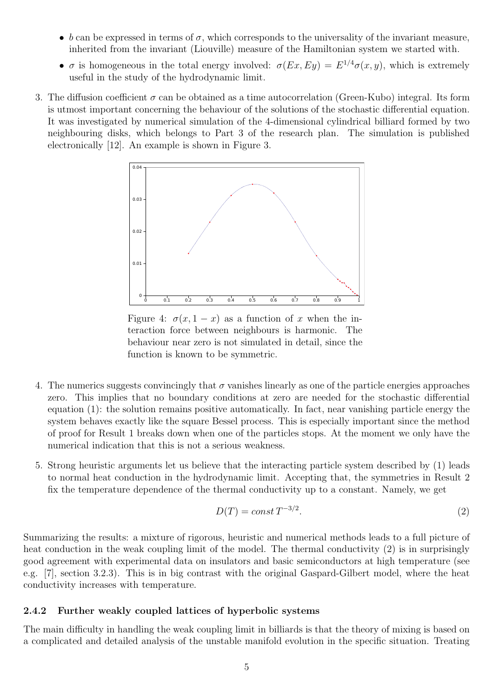- b can be expressed in terms of  $\sigma$ , which corresponds to the universality of the invariant measure, inherited from the invariant (Liouville) measure of the Hamiltonian system we started with.
- $\sigma$  is homogeneous in the total energy involved:  $\sigma(EX, Ey) = E^{1/4}\sigma(x, y)$ , which is extremely useful in the study of the hydrodynamic limit.
- 3. The diffusion coefficient  $\sigma$  can be obtained as a time autocorrelation (Green-Kubo) integral. Its form is utmost important concerning the behaviour of the solutions of the stochastic differential equation. It was investigated by numerical simulation of the 4-dimensional cylindrical billiard formed by two neighbouring disks, which belongs to Part 3 of the research plan. The simulation is published electronically [12]. An example is shown in Figure 3.



Figure 4:  $\sigma(x, 1-x)$  as a function of x when the interaction force between neighbours is harmonic. The behaviour near zero is not simulated in detail, since the function is known to be symmetric.

- 4. The numerics suggests convincingly that  $\sigma$  vanishes linearly as one of the particle energies approaches zero. This implies that no boundary conditions at zero are needed for the stochastic differential equation (1): the solution remains positive automatically. In fact, near vanishing particle energy the system behaves exactly like the square Bessel process. This is especially important since the method of proof for Result 1 breaks down when one of the particles stops. At the moment we only have the numerical indication that this is not a serious weakness.
- 5. Strong heuristic arguments let us believe that the interacting particle system described by (1) leads to normal heat conduction in the hydrodynamic limit. Accepting that, the symmetries in Result 2 fix the temperature dependence of the thermal conductivity up to a constant. Namely, we get

$$
D(T) = const \, T^{-3/2}.\tag{2}
$$

Summarizing the results: a mixture of rigorous, heuristic and numerical methods leads to a full picture of heat conduction in the weak coupling limit of the model. The thermal conductivity (2) is in surprisingly good agreement with experimental data on insulators and basic semiconductors at high temperature (see e.g. [7], section 3.2.3). This is in big contrast with the original Gaspard-Gilbert model, where the heat conductivity increases with temperature.

#### 2.4.2 Further weakly coupled lattices of hyperbolic systems

The main difficulty in handling the weak coupling limit in billiards is that the theory of mixing is based on a complicated and detailed analysis of the unstable manifold evolution in the specific situation. Treating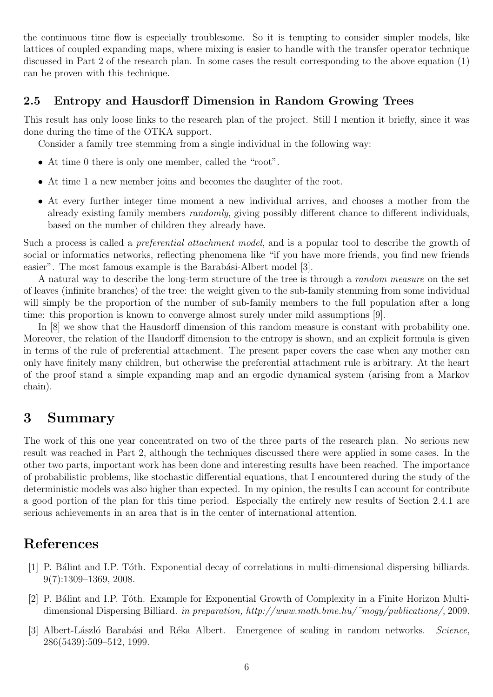the continuous time flow is especially troublesome. So it is tempting to consider simpler models, like lattices of coupled expanding maps, where mixing is easier to handle with the transfer operator technique discussed in Part 2 of the research plan. In some cases the result corresponding to the above equation (1) can be proven with this technique.

### 2.5 Entropy and Hausdorff Dimension in Random Growing Trees

This result has only loose links to the research plan of the project. Still I mention it briefly, since it was done during the time of the OTKA support.

Consider a family tree stemming from a single individual in the following way:

- At time 0 there is only one member, called the "root".
- At time 1 a new member joins and becomes the daughter of the root.
- At every further integer time moment a new individual arrives, and chooses a mother from the already existing family members *randomly*, giving possibly different chance to different individuals, based on the number of children they already have.

Such a process is called a *preferential attachment model*, and is a popular tool to describe the growth of social or informatics networks, reflecting phenomena like "if you have more friends, you find new friends easier". The most famous example is the Barabási-Albert model [3].

A natural way to describe the long-term structure of the tree is through a *random measure* on the set of leaves (infinite branches) of the tree: the weight given to the sub-family stemming from some individual will simply be the proportion of the number of sub-family members to the full population after a long time: this proportion is known to converge almost surely under mild assumptions [9].

In [8] we show that the Hausdorff dimension of this random measure is constant with probability one. Moreover, the relation of the Haudorff dimension to the entropy is shown, and an explicit formula is given in terms of the rule of preferential attachment. The present paper covers the case when any mother can only have finitely many children, but otherwise the preferential attachment rule is arbitrary. At the heart of the proof stand a simple expanding map and an ergodic dynamical system (arising from a Markov chain).

## 3 Summary

The work of this one year concentrated on two of the three parts of the research plan. No serious new result was reached in Part 2, although the techniques discussed there were applied in some cases. In the other two parts, important work has been done and interesting results have been reached. The importance of probabilistic problems, like stochastic differential equations, that I encountered during the study of the deterministic models was also higher than expected. In my opinion, the results I can account for contribute a good portion of the plan for this time period. Especially the entirely new results of Section 2.4.1 are serious achievements in an area that is in the center of international attention.

# References

- [1] P. Bálint and I.P. Tóth. Exponential decay of correlations in multi-dimensional dispersing billiards. 9(7):1309–1369, 2008.
- [2] P. Bálint and I.P. Tóth. Example for Exponential Growth of Complexity in a Finite Horizon Multidimensional Dispersing Billiard. *in preparation, http://www.math.bme.hu/˜mogy/publications/*, 2009.
- [3] Albert-László Barabási and Réka Albert. Emergence of scaling in random networks. *Science*, 286(5439):509–512, 1999.